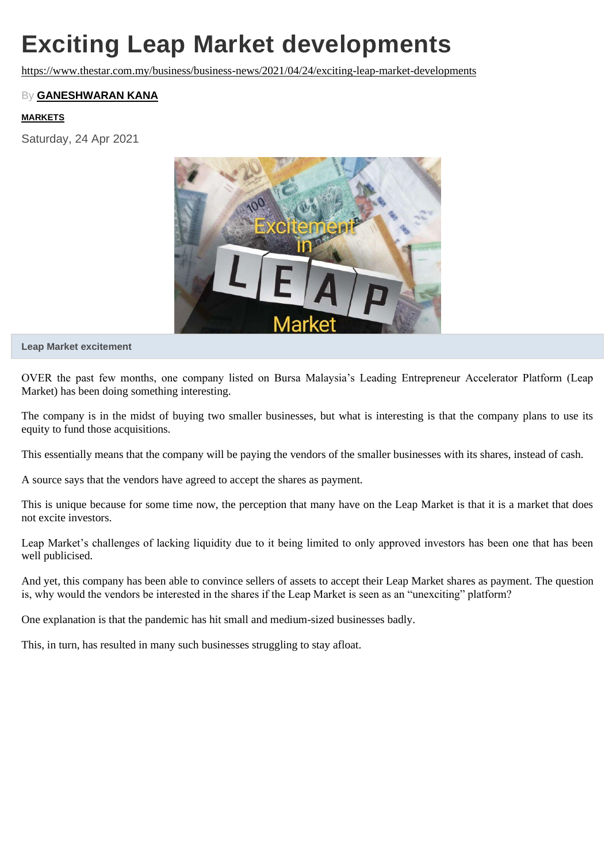# **Exciting Leap Market developments**

<https://www.thestar.com.my/business/business-news/2021/04/24/exciting-leap-market-developments>

### By **[GANESHWARAN](https://www.thestar.com.my/authors?q=GANESHWARAN+KANA) KANA**

#### **[MARKETS](https://www.thestar.com.my/tag/markets)**

Saturday, 24 Apr 2021



**Leap Market excitement**

OVER the past few months, one company listed on Bursa Malaysia's Leading Entrepreneur Accelerator Platform (Leap Market) has been doing something interesting.

The company is in the midst of buying two smaller businesses, but what is interesting is that the company plans to use its equity to fund those acquisitions.

This essentially means that the company will be paying the vendors of the smaller businesses with its shares, instead of cash.

A source says that the vendors have agreed to accept the shares as payment.

This is unique because for some time now, the perception that many have on the Leap Market is that it is a market that does not excite investors.

Leap Market's challenges of lacking liquidity due to it being limited to only approved investors has been one that has been well publicised.

And yet, this company has been able to convince sellers of assets to accept their Leap Market shares as payment. The question is, why would the vendors be interested in the shares if the Leap Market is seen as an "unexciting" platform?

One explanation is that the pandemic has hit small and medium-sized businesses badly.

This, in turn, has resulted in many such businesses struggling to stay afloat.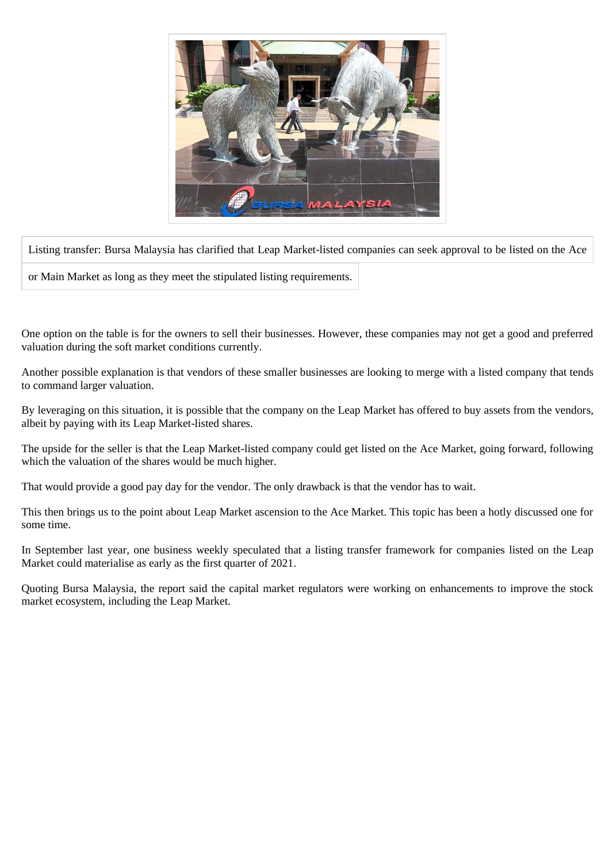

Listing transfer: Bursa Malaysia has clarified that Leap Market-listed companies can seek approval to be listed on the Ace

or Main Market as long as they meet the stipulated listing requirements.

One option on the table is for the owners to sell their businesses. However, these companies may not get a good and preferred valuation during the soft market conditions currently.

Another possible explanation is that vendors of these smaller businesses are looking to merge with a listed company that tends to command larger valuation.

By leveraging on this situation, it is possible that the company on the Leap Market has offered to buy assets from the vendors, albeit by paying with its Leap Market-listed shares.

The upside for the seller is that the Leap Market-listed company could get listed on the Ace Market, going forward, following which the valuation of the shares would be much higher.

That would provide a good pay day for the vendor. The only drawback is that the vendor has to wait.

This then brings us to the point about Leap Market ascension to the Ace Market. This topic has been a hotly discussed one for some time.

In September last year, one business weekly speculated that a listing transfer framework for companies listed on the Leap Market could materialise as early as the first quarter of 2021.

Quoting Bursa Malaysia, the report said the capital market regulators were working on enhancements to improve the stock market ecosystem, including the Leap Market.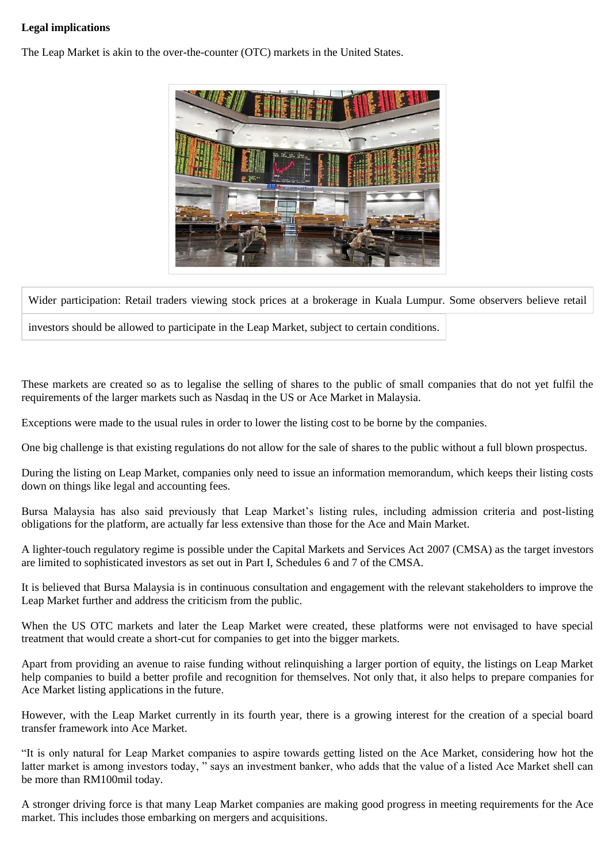## **Legal implications**

The Leap Market is akin to the over-the-counter (OTC) markets in the United States.



Wider participation: Retail traders viewing stock prices at a brokerage in Kuala Lumpur. Some observers believe retail

investors should be allowed to participate in the Leap Market, subject to certain conditions.

These markets are created so as to legalise the selling of shares to the public of small companies that do not yet fulfil the requirements of the larger markets such as Nasdaq in the US or Ace Market in Malaysia.

Exceptions were made to the usual rules in order to lower the listing cost to be borne by the companies.

One big challenge is that existing regulations do not allow for the sale of shares to the public without a full blown prospectus.

During the listing on Leap Market, companies only need to issue an information memorandum, which keeps their listing costs down on things like legal and accounting fees.

Bursa Malaysia has also said previously that Leap Market's listing rules, including admission criteria and post-listing obligations for the platform, are actually far less extensive than those for the Ace and Main Market.

A lighter-touch regulatory regime is possible under the Capital Markets and Services Act 2007 (CMSA) as the target investors are limited to sophisticated investors as set out in Part I, Schedules 6 and 7 of the CMSA.

It is believed that Bursa Malaysia is in continuous consultation and engagement with the relevant stakeholders to improve the Leap Market further and address the criticism from the public.

When the US OTC markets and later the Leap Market were created, these platforms were not envisaged to have special treatment that would create a short-cut for companies to get into the bigger markets.

Apart from providing an avenue to raise funding without relinquishing a larger portion of equity, the listings on Leap Market help companies to build a better profile and recognition for themselves. Not only that, it also helps to prepare companies for Ace Market listing applications in the future.

However, with the Leap Market currently in its fourth year, there is a growing interest for the creation of a special board transfer framework into Ace Market.

"It is only natural for Leap Market companies to aspire towards getting listed on the Ace Market, considering how hot the latter market is among investors today, " says an investment banker, who adds that the value of a listed Ace Market shell can be more than RM100mil today.

A stronger driving force is that many Leap Market companies are making good progress in meeting requirements for the Ace market. This includes those embarking on mergers and acquisitions.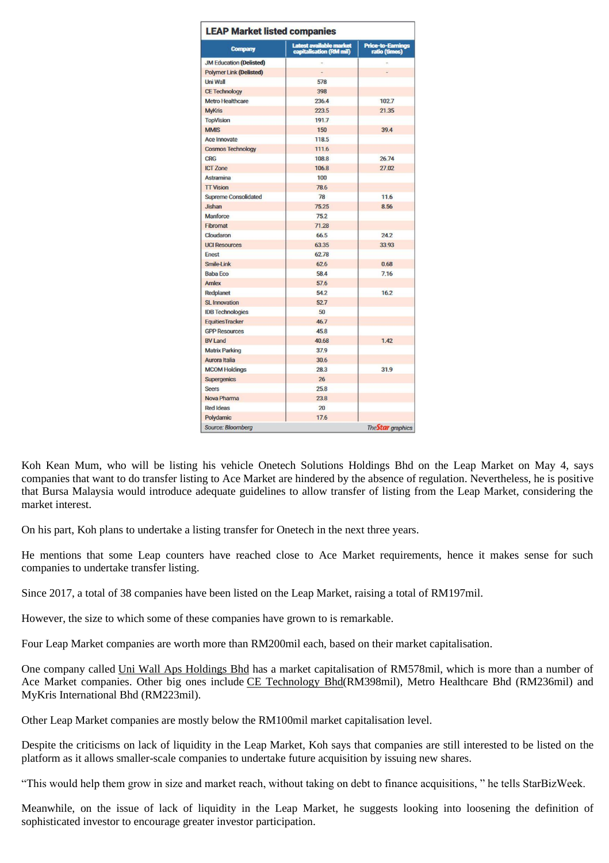| <b>Company</b>                 | Latest available market<br>capitalisation (RM mil) | <b>Price-to-Earnings</b><br>ratio (times) |
|--------------------------------|----------------------------------------------------|-------------------------------------------|
| <b>JM Education (Delisted)</b> |                                                    |                                           |
| <b>Polymer Link (Delisted)</b> |                                                    |                                           |
| Uni Wall                       | 578                                                |                                           |
| <b>CE Technology</b>           | 398                                                |                                           |
| <b>Metro Healthcare</b>        | 236.4                                              | 102.7                                     |
| <b>MyKris</b>                  | 223.5                                              | 21.35                                     |
| <b>TopVision</b>               | 191.7                                              |                                           |
| <b>MMIS</b>                    | 150                                                | 39.4                                      |
| Ace Innovate                   | 118.5                                              |                                           |
| <b>Cosmos Technology</b>       | 111.6                                              |                                           |
| <b>CRG</b>                     | 108.8                                              | 26.74                                     |
| <b>ICT Zone</b>                | 1068                                               | 27.02                                     |
| Astramina                      | 100                                                |                                           |
| <b>TT</b> Vision               | 78.6                                               |                                           |
| <b>Supreme Consolidated</b>    | 78                                                 | 11.6                                      |
| Jishan                         | 75.25                                              | 8.56                                      |
| Manforce                       | 75.2                                               |                                           |
| Fibromat                       | 71.28                                              |                                           |
| Cloudaron                      | 66.5                                               | 24.2                                      |
| <b>UCI Resources</b>           | 63.35                                              | 33.93                                     |
| Enest                          | 62.78                                              |                                           |
| Smile-Link                     | 62.6                                               | 0.68                                      |
| <b>Baba Fco</b>                | 58.4                                               | 7.16                                      |
| Amlex                          | 57.6                                               |                                           |
| Redplanet                      | 54.2                                               | 16.2                                      |
| <b>SL Innovation</b>           | 52.7                                               |                                           |
| <b>IDB Technologies</b>        | 50                                                 |                                           |
| <b>Equities Tracker</b>        | 46.7                                               |                                           |
| <b>GPP Resources</b>           | 45.8                                               |                                           |
| <b>BV Land</b>                 | 40.68                                              | 142                                       |
| <b>Matrix Parking</b>          | 37.9                                               |                                           |
| Aurora Italia                  | 30.6                                               |                                           |
| <b>MCOM Holdings</b>           | 28.3                                               | 31.9                                      |
| <b>Supergenics</b>             | 26                                                 |                                           |
| <b>Seers</b>                   | 25.8                                               |                                           |
| Nova Pharma                    | 23.8                                               |                                           |
| <b>Red Ideas</b>               | 20                                                 |                                           |
| Polydamic                      | 17.6                                               |                                           |

Koh Kean Mum, who will be listing his vehicle Onetech Solutions Holdings Bhd on the Leap Market on May 4, says companies that want to do transfer listing to Ace Market are hindered by the absence of regulation. Nevertheless, he is positive that Bursa Malaysia would introduce adequate guidelines to allow transfer of listing from the Leap Market, considering the market interest.

On his part, Koh plans to undertake a listing transfer for Onetech in the next three years.

He mentions that some Leap counters have reached close to Ace Market requirements, hence it makes sense for such companies to undertake transfer listing.

Since 2017, a total of 38 companies have been listed on the Leap Market, raising a total of RM197mil.

However, the size to which some of these companies have grown to is remarkable.

Four Leap Market companies are worth more than RM200mil each, based on their market capitalisation.

One company called Uni Wall Aps [Holdings](https://www.thestar.com.my/business/marketwatch/stocks/?qcounter=UNIWALL) Bhd has a market capitalisation of RM578mil, which is more than a number of Ace Market companies. Other big ones include CE [Technology](https://www.thestar.com.my/business/marketwatch/stocks/?qcounter=CETECH) Bhd(RM398mil), Metro Healthcare Bhd (RM236mil) and MyKris International Bhd (RM223mil).

Other Leap Market companies are mostly below the RM100mil market capitalisation level.

Despite the criticisms on lack of liquidity in the Leap Market, Koh says that companies are still interested to be listed on the platform as it allows smaller-scale companies to undertake future acquisition by issuing new shares.

"This would help them grow in size and market reach, without taking on debt to finance acquisitions, " he tells StarBizWeek.

Meanwhile, on the issue of lack of liquidity in the Leap Market, he suggests looking into loosening the definition of sophisticated investor to encourage greater investor participation.